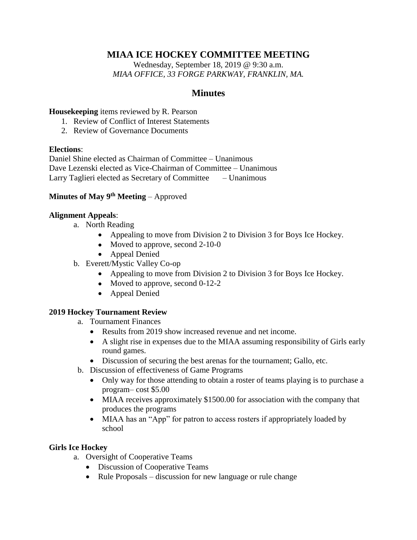# **MIAA ICE HOCKEY COMMITTEE MEETING**

Wednesday, September 18, 2019 @ 9:30 a.m. *MIAA OFFICE, 33 FORGE PARKWAY, FRANKLIN, MA.*

## **Minutes**

#### **Housekeeping** items reviewed by R. Pearson

- 1. Review of Conflict of Interest Statements
- 2. Review of Governance Documents

#### **Elections**:

Daniel Shine elected as Chairman of Committee – Unanimous Dave Lezenski elected as Vice-Chairman of Committee – Unanimous Larry Taglieri elected as Secretary of Committee – Unanimous

## **Minutes of May 9th Meeting** – Approved

#### **Alignment Appeals**:

- a. North Reading
	- Appealing to move from Division 2 to Division 3 for Boys Ice Hockey.
	- Moved to approve, second 2-10-0
	- Appeal Denied
- b. Everett/Mystic Valley Co-op
	- Appealing to move from Division 2 to Division 3 for Boys Ice Hockey.
	- Moved to approve, second 0-12-2
	- Appeal Denied

## **2019 Hockey Tournament Review**

- a. Tournament Finances
	- Results from 2019 show increased revenue and net income.
	- A slight rise in expenses due to the MIAA assuming responsibility of Girls early round games.
	- Discussion of securing the best arenas for the tournament; Gallo, etc.
- b. Discussion of effectiveness of Game Programs
	- Only way for those attending to obtain a roster of teams playing is to purchase a program– cost \$5.00
	- MIAA receives approximately \$1500.00 for association with the company that produces the programs
	- MIAA has an "App" for patron to access rosters if appropriately loaded by school

## **Girls Ice Hockey**

- a. Oversight of Cooperative Teams
	- Discussion of Cooperative Teams
	- Rule Proposals discussion for new language or rule change